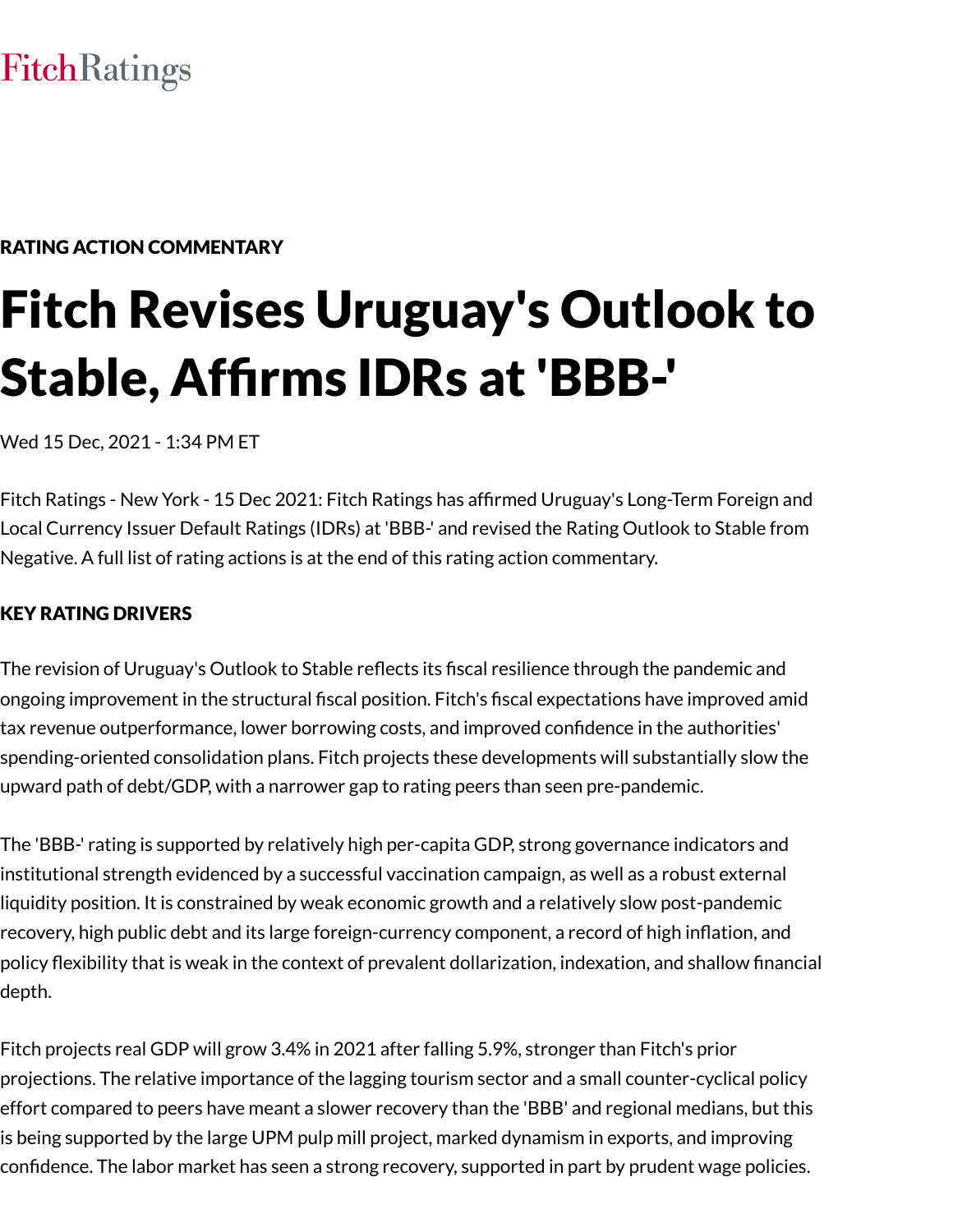# **FitchRatings**

# RATING ACTION COMMENTARY

# Fitch Revises Uruguay's Outlook to Stable, Affirms IDRs at 'BBB-'

Wed 15 Dec, 2021 - 1:34 PM ET

Fitch Ratings - New York - 15 Dec 2021: Fitch Ratings has affirmed Uruguay's Long-Term Foreign and Local Currency Issuer Default Ratings (IDRs) at 'BBB-' and revised the Rating Outlook to Stable from Negative. A full list of rating actions is at the end of this rating action commentary.

# KEY RATING DRIVERS

The revision of Uruguay's Outlook to Stable reflects its fiscal resilience through the pandemic and ongoing improvement in the structural fiscal position. Fitch's fiscal expectations have improved amid tax revenue outperformance, lower borrowing costs, and improved confidence in the authorities' spending-oriented consolidation plans. Fitch projects these developments will substantially slow the upward path of debt/GDP, with a narrower gap to rating peers than seen pre-pandemic.

The 'BBB-' rating is supported by relatively high per-capita GDP, strong governance indicators and institutional strength evidenced by a successful vaccination campaign, as well as a robust external liquidity position. It is constrained by weak economic growth and a relatively slow post-pandemic recovery, high public debt and its large foreign-currency component, a record of high inflation, and policy flexibility that is weak in the context of prevalent dollarization, indexation, and shallow financial depth.

Fitch projects real GDP will grow 3.4% in 2021 after falling 5.9%, stronger than Fitch's prior projections. The relative importance of the lagging tourism sector and a small counter-cyclical policy effort compared to peers have meant a slower recovery than the 'BBB' and regional medians, but this is being supported by the large UPM pulp mill project, marked dynamism in exports, and improving confidence. The labor market has seen a strong recovery, supported in part by prudent wage policies.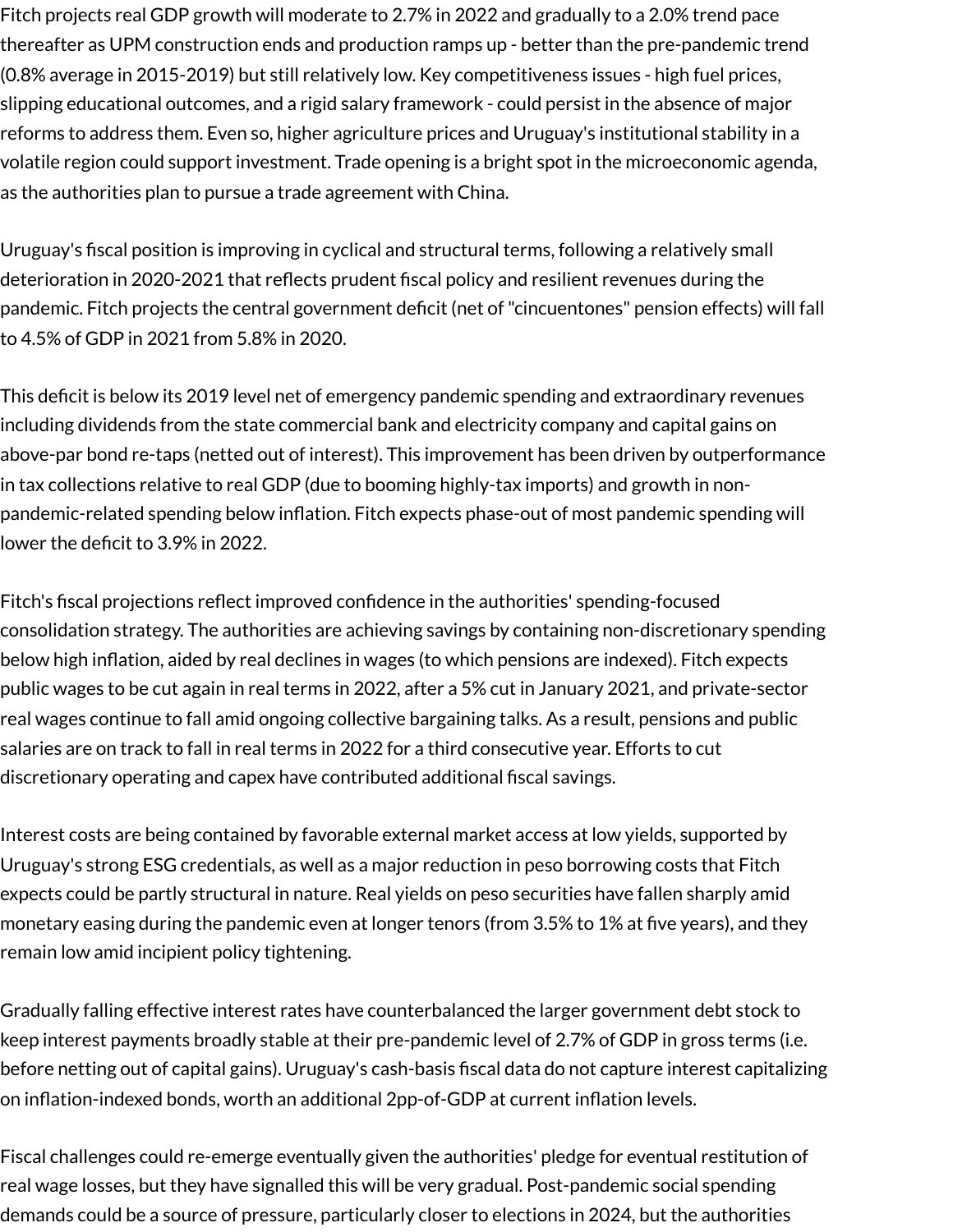Fitch projects real GDP growth will moderate to 2.7% in 2022 and gradually to a 2.0% trend pace thereafter as UPM construction ends and production ramps up - better than the pre-pandemic trend (0.8% average in 2015-2019) but still relatively low. Key competitiveness issues - high fuel prices, slipping educational outcomes, and a rigid salary framework - could persist in the absence of major reforms to address them. Even so, higher agriculture prices and Uruguay's institutional stability in a volatile region could support investment. Trade opening is a bright spot in the microeconomic agenda, as the authorities plan to pursue a trade agreement with China.

Uruguay's fiscal position is improving in cyclical and structural terms, following a relatively small deterioration in 2020-2021 that reflects prudent fiscal policy and resilient revenues during the pandemic. Fitch projects the central government deficit (net of"cincuentones" pension effects) will fall to 4.5% of GDP in 2021 from 5.8% in 2020.

This deficit is below its 2019 level net of emergency pandemic spending and extraordinary revenues including dividends from the state commercial bank and electricity company and capital gains on above-par bond re-taps (netted out of interest). This improvement has been driven by outperformance in tax collections relative to real GDP (due to booming highly-tax imports) and growth in nonpandemic-related spending below inflation. Fitch expects phase-out of most pandemic spending will lower the deficit to 3.9% in 2022.

Fitch's fiscal projections reflect improved confidence in the authorities' spending-focused consolidation strategy. The authorities are achieving savings by containing non-discretionary spending below high inflation, aided by real declines in wages (to which pensions are indexed). Fitch expects public wages to be cut again in real terms in 2022, after a 5% cut in January 2021, and private-sector real wages continue to fall amid ongoing collective bargaining talks. As a result, pensions and public salaries are on track to fall in real terms in 2022 for a third consecutive year. Efforts to cut discretionary operating and capex have contributed additional fiscal savings.

Interest costs are being contained by favorable external market access at low yields, supported by Uruguay's strong ESG credentials, as well as a major reduction in peso borrowing costs that Fitch expects could be partly structural in nature. Real yields on peso securities have fallen sharply amid monetary easing during the pandemic even at longer tenors (from 3.5% to 1% at five years), and they remain low amid incipient policy tightening.

Gradually falling effective interest rates have counterbalanced the larger government debt stock to keep interest payments broadly stable at their pre-pandemic level of 2.7% of GDP in gross terms (i.e. before netting out of capital gains). Uruguay's cash-basis fiscal data do not capture interest capitalizing on inflation-indexed bonds, worth an additional 2pp-of-GDP at current inflation levels.

Fiscal challenges could re-emerge eventually given the authorities' pledge for eventual restitution of real wage losses, but they have signalled this will be very gradual. Post-pandemic social spending demands could be a source of pressure, particularly closer to elections in 2024, but the authorities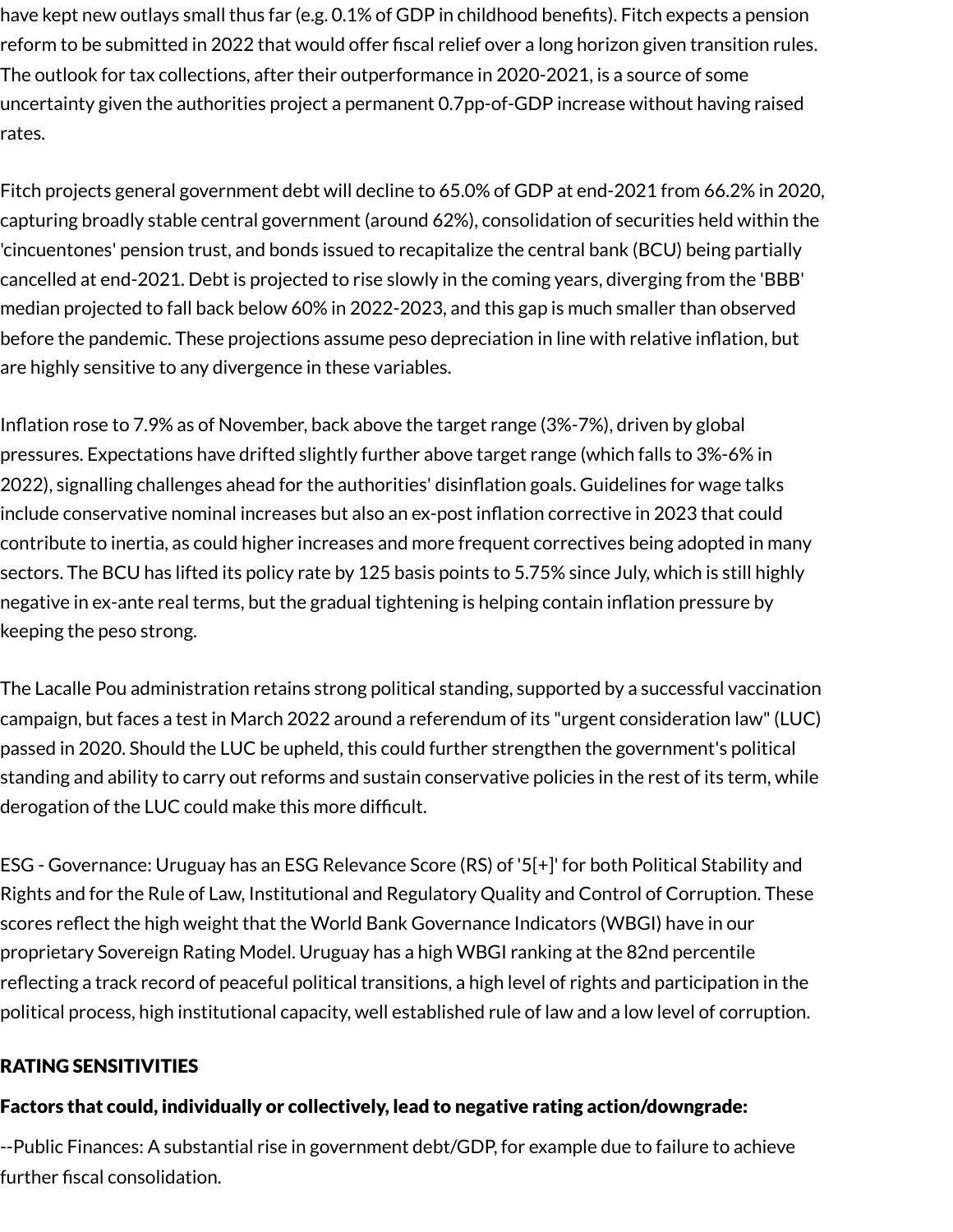have kept new outlays small thus far (e.g. 0.1% of GDP in childhood benefits). Fitch expects a pension reform to be submitted in 2022 that would offer fiscal relief over a long horizon given transition rules. The outlook for tax collections, after their outperformance in 2020-2021, is a source of some uncertainty given the authorities project a permanent 0.7pp-of-GDP increase without having raised rates.

Fitch projects general government debt will decline to 65.0% of GDP at end-2021 from 66.2% in 2020, capturing broadly stable central government (around 62%), consolidation of securities held within the 'cincuentones' pension trust, and bonds issued to recapitalize the central bank (BCU) being partially cancelled at end-2021. Debt is projected to rise slowly in the coming years, diverging from the 'BBB' median projected to fall back below 60% in 2022-2023, and this gap is much smaller than observed before the pandemic. These projections assume peso depreciation in line with relative inflation, but are highly sensitive to any divergence in these variables.

Inflation rose to 7.9% as of November, back above the target range (3%-7%), driven by global pressures. Expectations have drifted slightly further above target range (which falls to 3%-6% in 2022), signalling challenges ahead for the authorities' disinflation goals. Guidelines for wage talks include conservative nominal increases but also an ex-post inflation corrective in 2023 that could contribute to inertia, as could higher increases and more frequent correctives being adopted in many sectors. The BCU has lifted its policy rate by 125 basis points to 5.75% since July, which is still highly negative in ex-ante real terms, but the gradual tightening is helping contain inflation pressure by keeping the peso strong.

The Lacalle Pou administration retains strong political standing, supported by a successful vaccination campaign, but faces a test in March 2022 around a referendum of its "urgent consideration law"(LUC) passed in 2020. Should the LUC be upheld, this could further strengthen the government's political standing and ability to carry out reforms and sustain conservative policies in the rest of its term, while derogation of the LUC could make this more difficult.

ESG - Governance: Uruguay has an ESG Relevance Score (RS) of '5[+]' for both Political Stability and Rights and for the Rule of Law, Institutional and Regulatory Quality and Control of Corruption. These scores reflect the high weight that the World Bank Governance Indicators (WBGI) have in our proprietary Sovereign Rating Model. Uruguay has a high WBGI ranking at the 82nd percentile reflecting a track record of peaceful political transitions, a high level of rights and participation in the political process, high institutional capacity, well established rule of law and a low level of corruption.

# RATING SENSITIVITIES

#### Factors that could, individually or collectively, lead to negative rating action/downgrade:

--Public Finances: A substantial rise in government debt/GDP, for example due to failure to achieve further fiscal consolidation.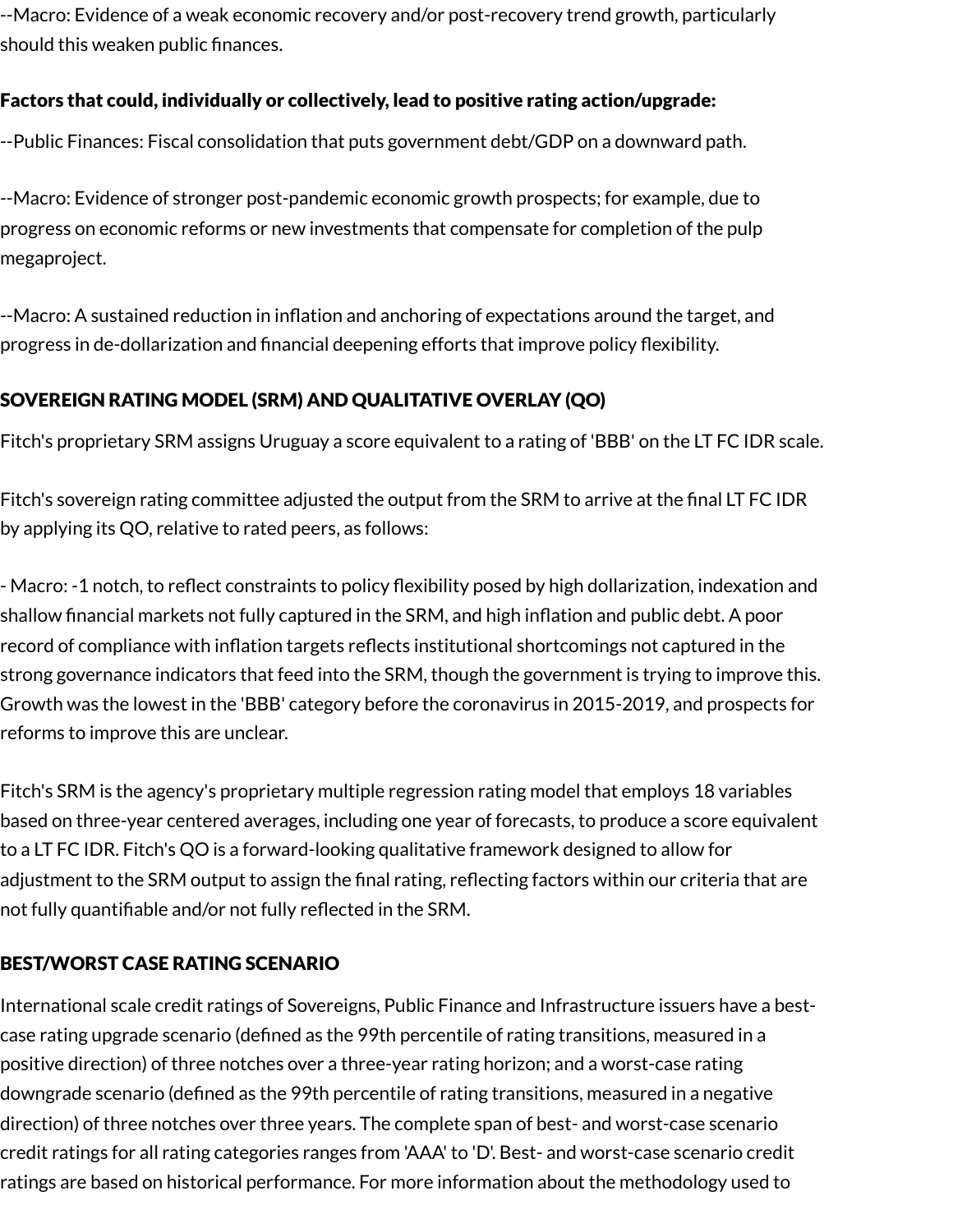--Macro: Evidence of a weak economic recovery and/or post-recovery trend growth, particularly should this weaken public finances.

# Factors that could, individually or collectively, lead to positive rating action/upgrade:

--Public Finances: Fiscal consolidation that puts government debt/GDP on a downward path.

--Macro: Evidence of stronger post-pandemic economic growth prospects; for example, due to progress on economic reforms or new investments that compensate for completion of the pulp megaproject.

--Macro: A sustained reduction in inflation and anchoring of expectations around the target, and progress in de-dollarization and financial deepening efforts that improve policy flexibility.

# SOVEREIGN RATING MODEL (SRM) AND QUALITATIVE OVERLAY (QO)

Fitch's proprietary SRM assigns Uruguay a score equivalent to a rating of 'BBB' on the LT FC IDR scale.

Fitch's sovereign rating committee adjusted the output from the SRM to arrive at the final LT FC IDR by applying its QO, relative to rated peers, as follows:

- Macro: -1 notch, to reflect constraints to policy flexibility posed by high dollarization, indexation and shallow financial markets not fully captured in the SRM, and high inflation and public debt. A poor record of compliance with inflation targets reflects institutional shortcomings not captured in the strong governance indicators that feed into the SRM, though the government is trying to improve this. Growth was the lowest in the 'BBB' category before the coronavirus in 2015-2019, and prospects for reforms to improve this are unclear.

Fitch's SRM is the agency's proprietary multiple regression rating model that employs 18 variables based on three-year centered averages, including one year of forecasts, to produce a score equivalent to a LT FC IDR. Fitch's QO is a forward-looking qualitative framework designed to allow for adjustment to the SRM output to assign the final rating, reflecting factors within our criteria that are not fully quantifiable and/or not fully reflected in the SRM.

# BEST/WORST CASE RATING SCENARIO

International scale credit ratings of Sovereigns, Public Finance and Infrastructure issuers have a bestcase rating upgrade scenario (defined as the 99th percentile of rating transitions, measured in a positive direction) of three notches over a three-year rating horizon; and a worst-case rating downgrade scenario (defined as the 99th percentile of rating transitions, measured in a negative direction) of three notches over three years. The complete span of best- and worst-case scenario credit ratings for all rating categories ranges from 'AAA' to 'D'. Best- and worst-case scenario credit ratings are based on historical performance. For more information about the methodology used to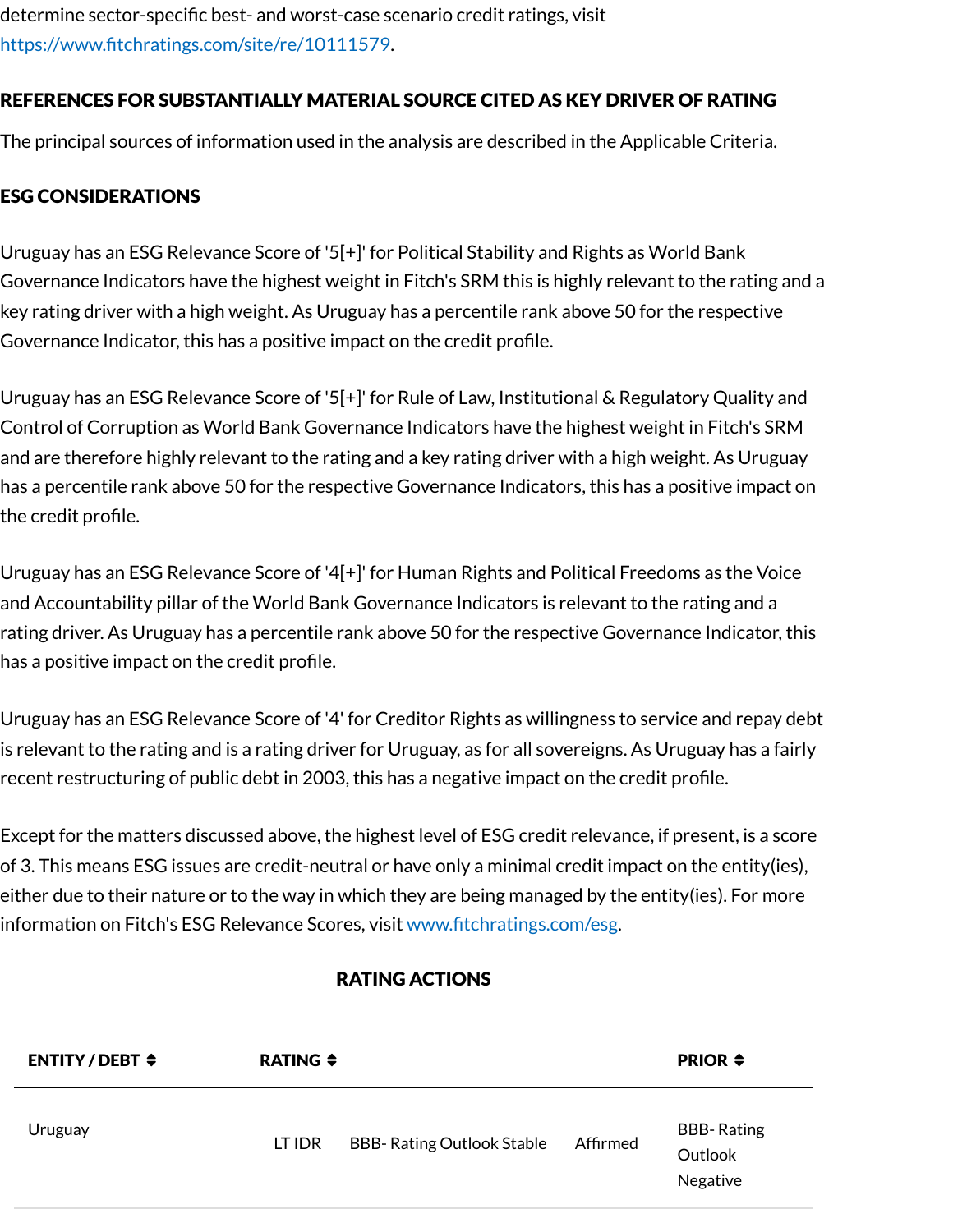determine sector-specific best- and worst-case scenario credit ratings, visit [https://www.fitchratings.com/site/re/10111579.](https://www.fitchratings.com/site/re/10111579)

# REFERENCES FOR SUBSTANTIALLY MATERIAL SOURCE CITED AS KEY DRIVER OF RATING

The principal sources of information used in the analysis are described in the Applicable Criteria.

# ESG CONSIDERATIONS

Uruguay has an ESG Relevance Score of '5[+]' for Political Stability and Rights as World Bank Governance Indicators have the highest weight in Fitch's SRM this is highly relevant to the rating and a key rating driver with a high weight. As Uruguay has a percentile rank above 50 for the respective Governance Indicator, this has a positive impact on the credit profile.

Uruguay has an ESG Relevance Score of '5[+]' for Rule of Law, Institutional & Regulatory Quality and Control of Corruption as World Bank Governance Indicators have the highest weight in Fitch's SRM and are therefore highly relevant to the rating and a key rating driver with a high weight. As Uruguay has a percentile rank above 50 for the respective Governance Indicators, this has a positive impact on the credit profile.

Uruguay has an ESG Relevance Score of '4[+]' for Human Rights and Political Freedoms as the Voice and Accountability pillar of the World Bank Governance Indicators is relevant to the rating and a rating driver. As Uruguay has a percentile rank above 50 for the respective Governance Indicator, this has a positive impact on the credit profile.

Uruguay has an ESG Relevance Score of '4' for Creditor Rights as willingness to service and repay debt is relevant to the rating and is a rating driver for Uruguay, as for all sovereigns. As Uruguay has a fairly recent restructuring of public debt in 2003, this has a negative impact on the credit profile.

Except for the matters discussed above, the highest level of ESG credit relevance, if present, is a score of 3. This means ESG issues are credit-neutral or have only a minimal credit impact on the entity(ies), either due to their nature or to the way in which they are being managed by the entity(ies). For more information on Fitch's ESG Relevance Scores, visit [www.fitchratings.com/esg.](http://www.fitchratings.com/esg)

#### RATING ACTIONS

| <b>ENTITY/DEBT <math>\div</math></b> | <b>RATING ≑</b> |                                  |          | <b>PRIOR <math>\div</math></b>           |
|--------------------------------------|-----------------|----------------------------------|----------|------------------------------------------|
| Uruguay                              | LT IDR          | <b>BBB-Rating Outlook Stable</b> | Affirmed | <b>BBB-Rating</b><br>Outlook<br>Negative |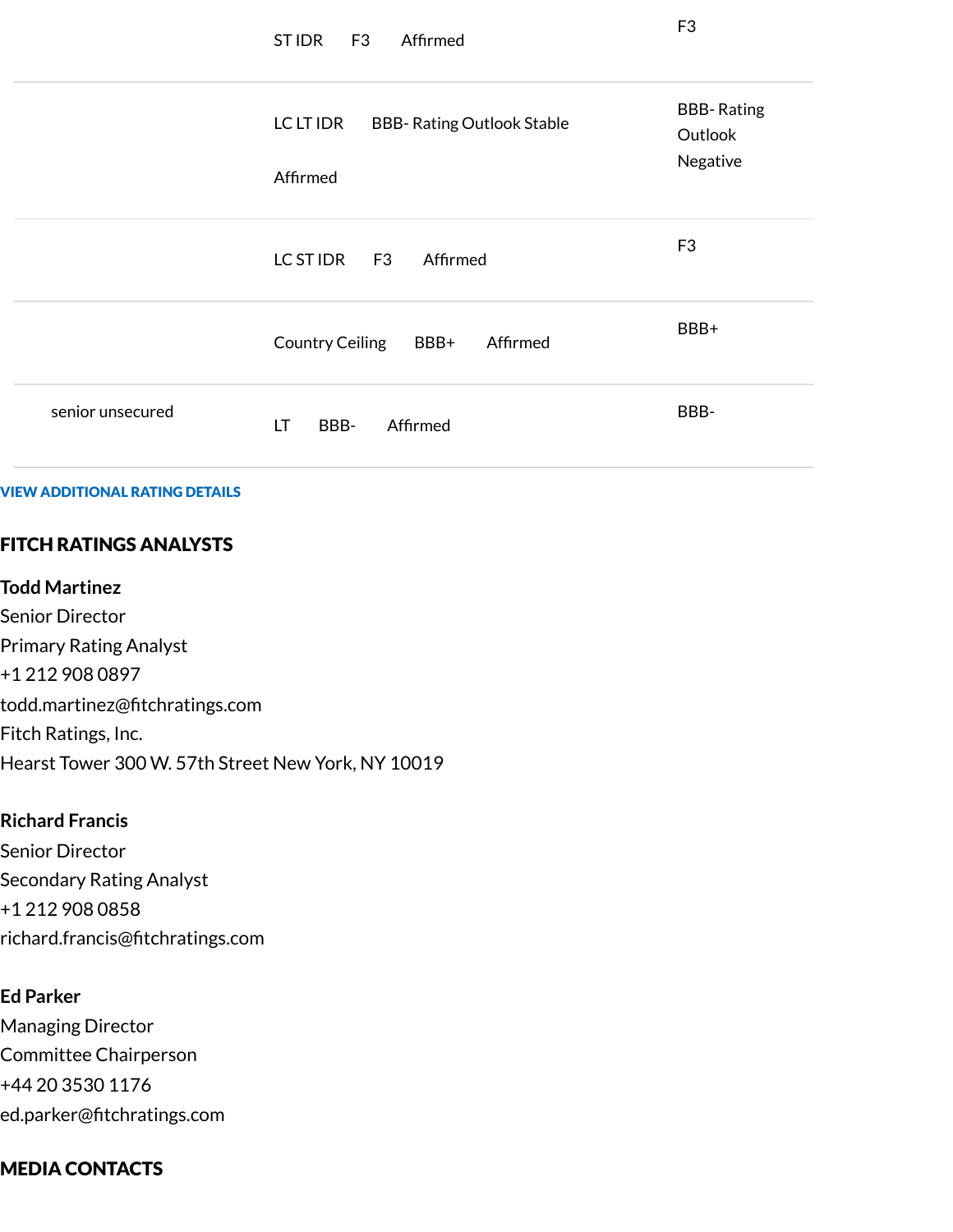|                  | ST IDR<br>F <sub>3</sub><br>Affirmed                       | F <sub>3</sub>                           |
|------------------|------------------------------------------------------------|------------------------------------------|
|                  | LC LT IDR<br><b>BBB- Rating Outlook Stable</b><br>Affirmed | <b>BBB-Rating</b><br>Outlook<br>Negative |
|                  | LC ST IDR F3<br>Affirmed                                   | F <sub>3</sub>                           |
|                  | Country Ceiling BBB+<br>Affirmed                           | BBB+                                     |
| senior unsecured | LT<br>Affirmed<br>BBB-                                     | BBB-                                     |

VIEW ADDITIONAL RATING DETAILS

# FITCH RATINGS ANALYSTS

#### **Todd Martinez**

Senior Director Primary Rating Analyst +1 212 908 0897 todd.martinez@fitchratings.com Fitch Ratings, Inc. Hearst Tower 300 W. 57th Street New York, NY 10019

#### **Richard Francis**

Senior Director Secondary Rating Analyst +1 212 908 0858 richard.francis@fitchratings.com

#### **Ed Parker**

Managing Director Committee Chairperson +44 20 3530 1176 ed.parker@fitchratings.com

#### MEDIA CONTACTS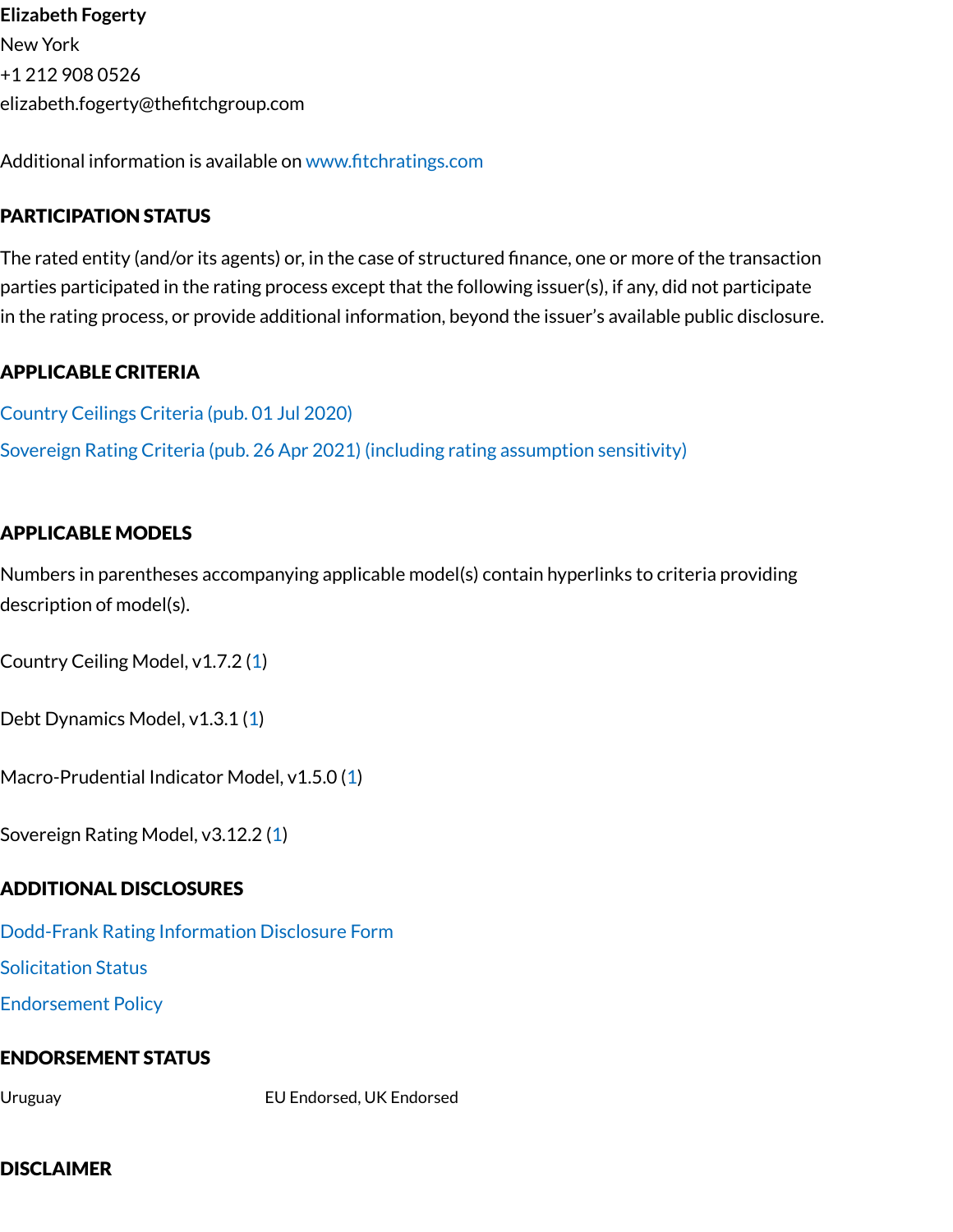**Elizabeth Fogerty** New York +1 212 908 0526 elizabeth.fogerty@thefitchgroup.com

Additional information is available on [www.fitchratings.com](http://www.fitchratings.com/)

# PARTICIPATION STATUS

The rated entity (and/or its agents) or, in the case of structured finance, one or more of the transaction parties participated in the rating process except that the following issuer(s), if any, did not participate in the rating process, or provide additional information, beyond the issuer's available public disclosure.

# APPLICABLE CRITERIA

[Country](https://www.fitchratings.com/research/sovereigns/country-ceilings-criteria-01-07-2020) Ceilings Criteria (pub. 01 Jul 2020) Sovereign Rating Criteria (pub. 26 Apr 2021) (including rating [assumption](https://www.fitchratings.com/research/sovereigns/sovereign-rating-criteria-26-04-2021) sensitivity)

# APPLICABLE MODELS

Numbers in parentheses accompanying applicable model(s) contain hyperlinks to criteria providing description of model(s).

Country Ceiling Model, v1.7.2 [\(1\)](https://www.fitchratings.com/research/sovereigns/country-ceilings-criteria-01-07-2020)

Debt Dynamics Model, v1.3.1 ([1](https://www.fitchratings.com/research/sovereigns/sovereign-rating-criteria-26-04-2021))

Macro-Prudential Indicator Model, v1.5.0 ([1\)](https://www.fitchratings.com/research/sovereigns/sovereign-rating-criteria-26-04-2021)

Sovereign Rating Model, v3.12.2 ([1\)](https://www.fitchratings.com/research/sovereigns/sovereign-rating-criteria-26-04-2021)

#### ADDITIONAL DISCLOSURES

[Dodd-Frank](https://www.fitchratings.com/research/sovereigns/fitch-revises-uruguay-outlook-to-stable-affirms-idrs-at-bbb-15-12-2021/dodd-frank-disclosure) Rating Information Disclosure Form

Solicitation Status

[Endorsement](#page-9-0) Policy

#### ENDORSEMENT STATUS

Uruguay EU Endorsed, UK Endorsed

#### DISCLAIMER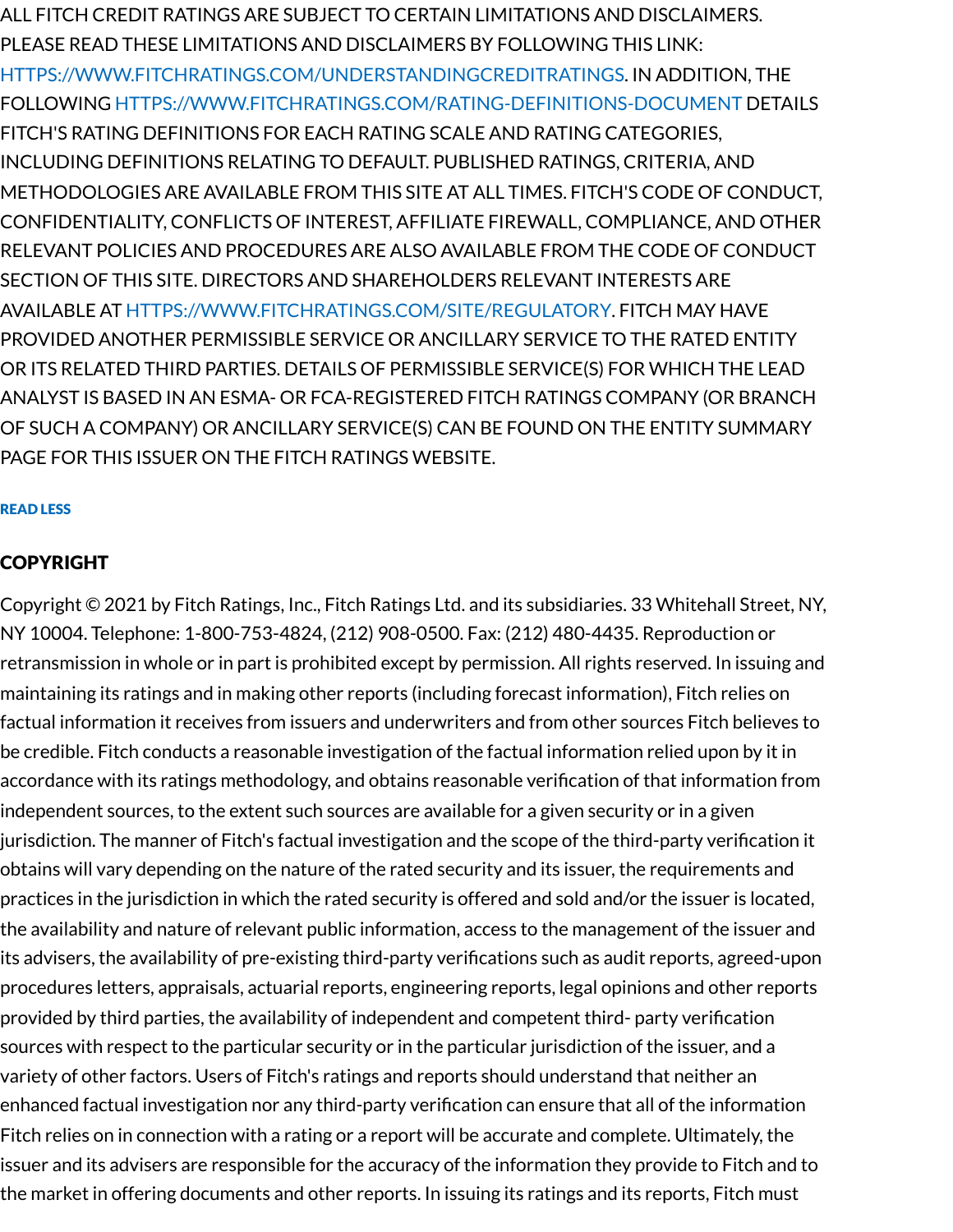ALL FITCH CREDIT RATINGS ARE SUBJECT TO CERTAIN LIMITATIONS AND DISCLAIMERS. PLEASE READ THESE LIMITATIONS AND DISCLAIMERS BY FOLLOWING THIS LINK: [HTTPS://WWW.FITCHRATINGS.COM/UNDERSTANDINGCREDITRATINGS](https://www.fitchratings.com/UNDERSTANDINGCREDITRATINGS). IN ADDITION, THE FOLLOWING [HTTPS://WWW.FITCHRATINGS.COM/RATING-DEFINITIONS-DOCUMENT](https://www.fitchratings.com/rating-definitions-document) DETAILS FITCH'S RATING DEFINITIONS FOR EACH RATING SCALE AND RATING CATEGORIES, INCLUDING DEFINITIONS RELATING TO DEFAULT. PUBLISHED RATINGS, CRITERIA, AND METHODOLOGIES ARE AVAILABLE FROM THIS SITE AT ALL TIMES. FITCH'S CODE OF CONDUCT, CONFIDENTIALITY, CONFLICTS OF INTEREST, AFFILIATE FIREWALL, COMPLIANCE, AND OTHER RELEVANT POLICIES AND PROCEDURES ARE ALSO AVAILABLE FROM THE CODE OF CONDUCT SECTION OF THIS SITE. DIRECTORS AND SHAREHOLDERS RELEVANT INTERESTS ARE AVAILABLE AT [HTTPS://WWW.FITCHRATINGS.COM/SITE/REGULATORY](https://www.fitchratings.com/site/regulatory). FITCH MAY HAVE PROVIDED ANOTHER PERMISSIBLE SERVICE OR ANCILLARY SERVICE TO THE RATED ENTITY OR ITS RELATED THIRD PARTIES. DETAILS OF PERMISSIBLE SERVICE(S) FOR WHICH THE LEAD ANALYST IS BASED IN AN ESMA- OR FCA-REGISTERED FITCH RATINGS COMPANY (OR BRANCH OF SUCH A COMPANY) OR ANCILLARY SERVICE(S) CAN BE FOUND ON THE ENTITY SUMMARY PAGE FOR THIS ISSUER ON THE FITCH RATINGS WEBSITE.

#### READ LESS

#### COPYRIGHT

Copyright © 2021 by Fitch Ratings, Inc., Fitch Ratings Ltd. and its subsidiaries. 33 Whitehall Street, NY, NY 10004. Telephone: 1-800-753-4824, (212) 908-0500. Fax: (212) 480-4435. Reproduction or retransmission in whole or in part is prohibited except by permission. All rights reserved. In issuing and maintaining its ratings and in making other reports (including forecast information), Fitch relies on factual information it receives from issuers and underwriters and from other sources Fitch believes to be credible. Fitch conducts a reasonable investigation of the factual information relied upon by it in accordance with its ratings methodology, and obtains reasonable verification of that information from independent sources, to the extent such sources are available for a given security or in a given jurisdiction. The manner of Fitch's factual investigation and the scope of the third-party verification it obtains will vary depending on the nature of the rated security and its issuer, the requirements and practices in the jurisdiction in which the rated security is offered and sold and/or the issuer is located, the availability and nature of relevant public information, access to the management of the issuer and its advisers, the availability of pre-existing third-party verifications such as audit reports, agreed-upon procedures letters, appraisals, actuarial reports, engineering reports, legal opinions and other reports provided by third parties, the availability of independent and competent third- party verification sources with respect to the particular security or in the particular jurisdiction of the issuer, and a variety of other factors. Users of Fitch's ratings and reports should understand that neither an enhanced factual investigation nor any third-party verification can ensure that all of the information Fitch relies on in connection with a rating or a report will be accurate and complete. Ultimately, the issuer and its advisers are responsible for the accuracy of the information they provide to Fitch and to the market in offering documents and other reports. In issuing its ratings and its reports, Fitch must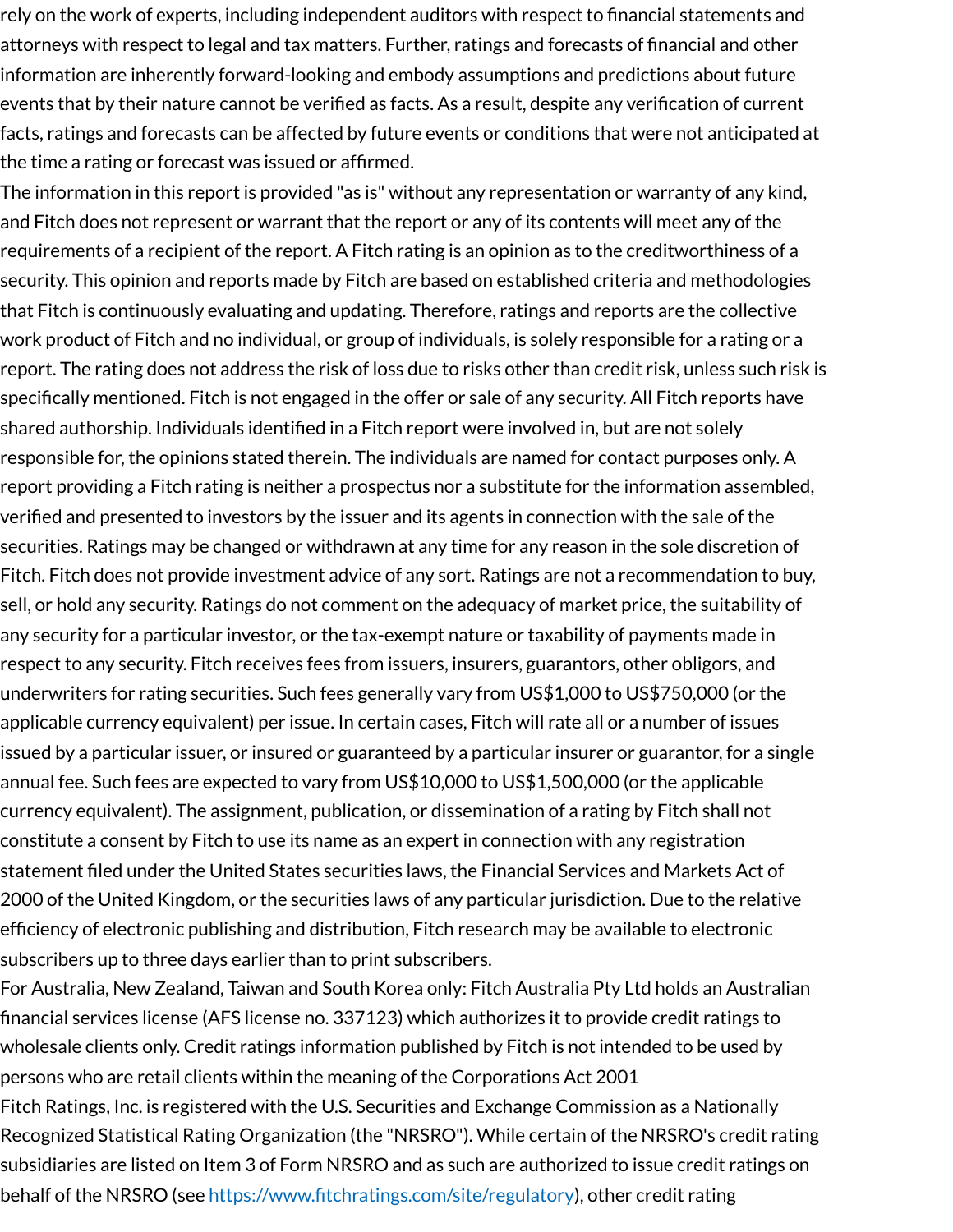rely on the work of experts, including independent auditors with respect to financial statements and attorneys with respect to legal and tax matters. Further, ratings and forecasts of financial and other information are inherently forward-looking and embody assumptions and predictions about future events that by their nature cannot be verified as facts. As a result, despite any verification of current facts, ratings and forecasts can be affected by future events or conditions that were not anticipated at the time a rating or forecast was issued or affirmed.

The information in this report is provided "as is" without any representation or warranty of any kind, and Fitch does not represent or warrant that the report or any of its contents will meet any of the requirements of a recipient of the report. A Fitch rating is an opinion as to the creditworthiness of a security. This opinion and reports made by Fitch are based on established criteria and methodologies that Fitch is continuously evaluating and updating. Therefore, ratings and reports are the collective work product of Fitch and no individual, or group of individuals, is solely responsible for a rating or a report. The rating does not address the risk of loss due to risks other than credit risk, unless such risk is specifically mentioned. Fitch is not engaged in the offer or sale of any security. All Fitch reports have shared authorship. Individuals identified in a Fitch report were involved in, but are not solely responsible for, the opinions stated therein. The individuals are named for contact purposes only. A report providing a Fitch rating is neither a prospectus nor a substitute for the information assembled, verified and presented to investors by the issuer and its agents in connection with the sale of the securities. Ratings may be changed or withdrawn at any time for any reason in the sole discretion of Fitch. Fitch does not provide investment advice of any sort. Ratings are not a recommendation to buy, sell, or hold any security. Ratings do not comment on the adequacy of market price, the suitability of any security for a particular investor, or the tax-exempt nature or taxability of payments made in respect to any security. Fitch receives fees from issuers, insurers, guarantors, other obligors, and underwriters for rating securities. Such fees generally vary from US\$1,000 to US\$750,000 (or the applicable currency equivalent) per issue. In certain cases, Fitch will rate all or a number of issues issued by a particular issuer, or insured or guaranteed by a particular insurer or guarantor, for a single annual fee. Such fees are expected to vary from US\$10,000 to US\$1,500,000 (or the applicable currency equivalent). The assignment, publication, or dissemination of a rating by Fitch shall not constitute a consent by Fitch to use its name as an expert in connection with any registration statement filed under the United States securities laws, the Financial Services and Markets Act of 2000 of the United Kingdom, or the securities laws of any particular jurisdiction. Due to the relative efficiency of electronic publishing and distribution, Fitch research may be available to electronic subscribers up to three days earlier than to print subscribers.

For Australia, New Zealand, Taiwan and South Korea only: Fitch Australia Pty Ltd holds an Australian financial services license (AFS license no. 337123) which authorizes it to provide credit ratings to wholesale clients only. Credit ratings information published by Fitch is not intended to be used by persons who are retail clients within the meaning of the Corporations Act 2001

Fitch Ratings, Inc. is registered with the U.S. Securities and Exchange Commission as a Nationally Recognized Statistical Rating Organization (the "NRSRO"). While certain of the NRSRO's credit rating subsidiaries are listed on Item 3 of Form NRSRO and as such are authorized to issue credit ratings on behalf of the NRSRO (see <https://www.fitchratings.com/site/regulatory>), other credit rating